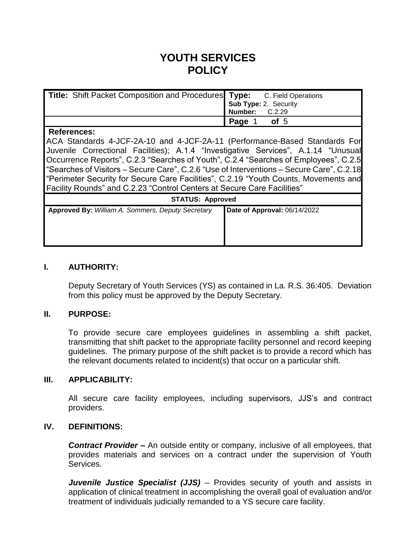# **YOUTH SERVICES POLICY**

| <b>Title:</b> Shift Packet Composition and Procedures Type: C. Field Operations |                                         |
|---------------------------------------------------------------------------------|-----------------------------------------|
|                                                                                 | Sub Type: 2. Security<br>Number: C.2.29 |
|                                                                                 |                                         |
|                                                                                 | Page 1 of 5                             |

#### **References:**

ACA Standards 4-JCF-2A-10 and 4-JCF-2A-11 (Performance-Based Standards For Juvenile Correctional Facilities); A.1.4 "Investigative Services", A.1.14 "Unusual Occurrence Reports", C.2.3 "Searches of Youth", C.2.4 "Searches of Employees", C.2.5 "Searches of Visitors – Secure Care", C.2.6 "Use of Interventions – Secure Care", C.2.18 "Perimeter Security for Secure Care Facilities", C.2.19 "Youth Counts, Movements and Facility Rounds" and C.2.23 "Control Centers at Secure Care Facilities"

| <b>STATUS: Approved</b>                                  |                              |  |
|----------------------------------------------------------|------------------------------|--|
| <b>Approved By: William A. Sommers, Deputy Secretary</b> | Date of Approval: 06/14/2022 |  |
|                                                          |                              |  |
|                                                          |                              |  |
|                                                          |                              |  |
|                                                          |                              |  |

#### **I. AUTHORITY:**

Deputy Secretary of Youth Services (YS) as contained in La. R.S. 36:405. Deviation from this policy must be approved by the Deputy Secretary.

#### **II. PURPOSE:**

To provide secure care employees guidelines in assembling a shift packet, transmitting that shift packet to the appropriate facility personnel and record keeping guidelines. The primary purpose of the shift packet is to provide a record which has the relevant documents related to incident(s) that occur on a particular shift.

#### **III. APPLICABILITY:**

All secure care facility employees, including supervisors, JJS's and contract providers.

#### **IV. DEFINITIONS:**

*Contract Provider* **–** An outside entity or company, inclusive of all employees, that provides materials and services on a contract under the supervision of Youth Services.

*Juvenile Justice Specialist (JJS) – Provides security of youth and assists in* application of clinical treatment in accomplishing the overall goal of evaluation and/or treatment of individuals judicially remanded to a YS secure care facility.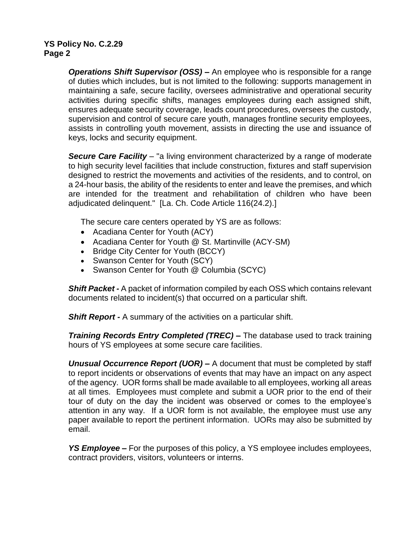## **YS Policy No. C.2.29 Page 2**

*Operations Shift Supervisor (OSS) –* An employee who is responsible for a range of duties which includes, but is not limited to the following: supports management in maintaining a safe, secure facility, oversees administrative and operational security activities during specific shifts, manages employees during each assigned shift, ensures adequate security coverage, leads count procedures, oversees the custody, supervision and control of secure care youth, manages frontline security employees, assists in controlling youth movement, assists in directing the use and issuance of keys, locks and security equipment.

*Secure Care Facility* – "a living environment characterized by a range of moderate to high security level facilities that include construction, fixtures and staff supervision designed to restrict the movements and activities of the residents, and to control, on a 24-hour basis, the ability of the residents to enter and leave the premises, and which are intended for the treatment and rehabilitation of children who have been adjudicated delinquent." [La. Ch. Code Article 116(24.2).]

The secure care centers operated by YS are as follows:

- Acadiana Center for Youth (ACY)
- Acadiana Center for Youth @ St. Martinville (ACY-SM)
- Bridge City Center for Youth (BCCY)
- Swanson Center for Youth (SCY)
- Swanson Center for Youth @ Columbia (SCYC)

*Shift Packet -* A packet of information compiled by each OSS which contains relevant documents related to incident(s) that occurred on a particular shift.

**Shift Report -** A summary of the activities on a particular shift.

*Training Records Entry Completed (TREC)* **–** The database used to track training hours of YS employees at some secure care facilities.

*Unusual Occurrence Report (UOR) –* A document that must be completed by staff to report incidents or observations of events that may have an impact on any aspect of the agency. UOR forms shall be made available to all employees, working all areas at all times. Employees must complete and submit a UOR prior to the end of their tour of duty on the day the incident was observed or comes to the employee's attention in any way. If a UOR form is not available, the employee must use any paper available to report the pertinent information. UORs may also be submitted by email.

*YS Employee* – For the purposes of this policy, a YS employee includes employees, contract providers, visitors, volunteers or interns.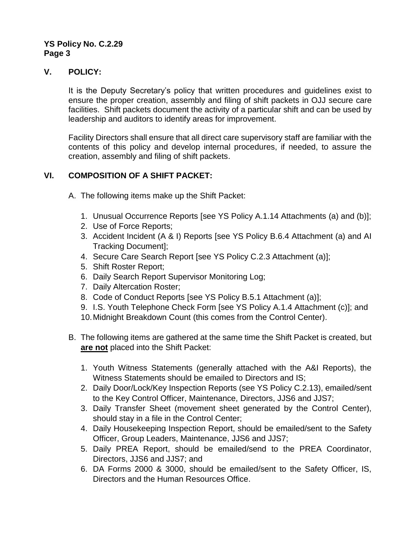## **YS Policy No. C.2.29 Page 3**

# **V. POLICY:**

It is the Deputy Secretary's policy that written procedures and guidelines exist to ensure the proper creation, assembly and filing of shift packets in OJJ secure care facilities. Shift packets document the activity of a particular shift and can be used by leadership and auditors to identify areas for improvement.

Facility Directors shall ensure that all direct care supervisory staff are familiar with the contents of this policy and develop internal procedures, if needed, to assure the creation, assembly and filing of shift packets.

# **VI. COMPOSITION OF A SHIFT PACKET:**

A. The following items make up the Shift Packet:

- 1. Unusual Occurrence Reports [see YS Policy A.1.14 Attachments (a) and (b)];
- 2. Use of Force Reports;
- 3. Accident Incident (A & I) Reports [see YS Policy B.6.4 Attachment (a) and AI Tracking Document];
- 4. Secure Care Search Report [see YS Policy C.2.3 Attachment (a)];
- 5. Shift Roster Report;
- 6. Daily Search Report Supervisor Monitoring Log;
- 7. Daily Altercation Roster;
- 8. Code of Conduct Reports [see YS Policy B.5.1 Attachment (a)];
- 9. I.S. Youth Telephone Check Form [see YS Policy A.1.4 Attachment (c)]; and
- 10.Midnight Breakdown Count (this comes from the Control Center).
- B. The following items are gathered at the same time the Shift Packet is created, but **are not** placed into the Shift Packet:
	- 1. Youth Witness Statements (generally attached with the A&I Reports), the Witness Statements should be emailed to Directors and IS;
	- 2. Daily Door/Lock/Key Inspection Reports (see YS Policy C.2.13), emailed/sent to the Key Control Officer, Maintenance, Directors, JJS6 and JJS7;
	- 3. Daily Transfer Sheet (movement sheet generated by the Control Center), should stay in a file in the Control Center;
	- 4. Daily Housekeeping Inspection Report, should be emailed/sent to the Safety Officer, Group Leaders, Maintenance, JJS6 and JJS7;
	- 5. Daily PREA Report, should be emailed/send to the PREA Coordinator, Directors, JJS6 and JJS7; and
	- 6. DA Forms 2000 & 3000, should be emailed/sent to the Safety Officer, IS, Directors and the Human Resources Office.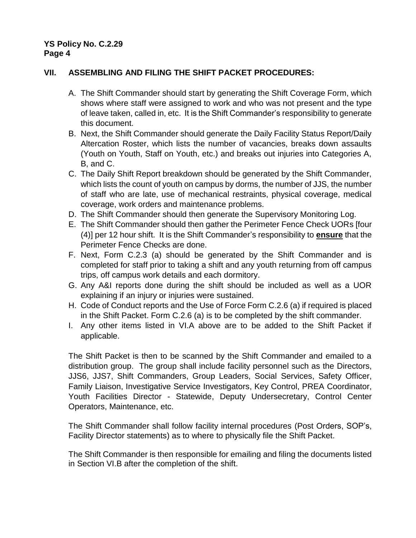# **VII. ASSEMBLING AND FILING THE SHIFT PACKET PROCEDURES:**

- A. The Shift Commander should start by generating the Shift Coverage Form, which shows where staff were assigned to work and who was not present and the type of leave taken, called in, etc. It is the Shift Commander's responsibility to generate this document.
- B. Next, the Shift Commander should generate the Daily Facility Status Report/Daily Altercation Roster, which lists the number of vacancies, breaks down assaults (Youth on Youth, Staff on Youth, etc.) and breaks out injuries into Categories A, B, and C.
- C. The Daily Shift Report breakdown should be generated by the Shift Commander, which lists the count of youth on campus by dorms, the number of JJS, the number of staff who are late, use of mechanical restraints, physical coverage, medical coverage, work orders and maintenance problems.
- D. The Shift Commander should then generate the Supervisory Monitoring Log.
- E. The Shift Commander should then gather the Perimeter Fence Check UORs [four (4)] per 12 hour shift. It is the Shift Commander's responsibility to **ensure** that the Perimeter Fence Checks are done.
- F. Next, Form C.2.3 (a) should be generated by the Shift Commander and is completed for staff prior to taking a shift and any youth returning from off campus trips, off campus work details and each dormitory.
- G. Any A&I reports done during the shift should be included as well as a UOR explaining if an injury or injuries were sustained.
- H. Code of Conduct reports and the Use of Force Form C.2.6 (a) if required is placed in the Shift Packet. Form C.2.6 (a) is to be completed by the shift commander.
- I. Any other items listed in VI.A above are to be added to the Shift Packet if applicable.

The Shift Packet is then to be scanned by the Shift Commander and emailed to a distribution group. The group shall include facility personnel such as the Directors, JJS6, JJS7, Shift Commanders, Group Leaders, Social Services, Safety Officer, Family Liaison, Investigative Service Investigators, Key Control, PREA Coordinator, Youth Facilities Director - Statewide, Deputy Undersecretary, Control Center Operators, Maintenance, etc.

The Shift Commander shall follow facility internal procedures (Post Orders, SOP's, Facility Director statements) as to where to physically file the Shift Packet.

The Shift Commander is then responsible for emailing and filing the documents listed in Section VI.B after the completion of the shift.